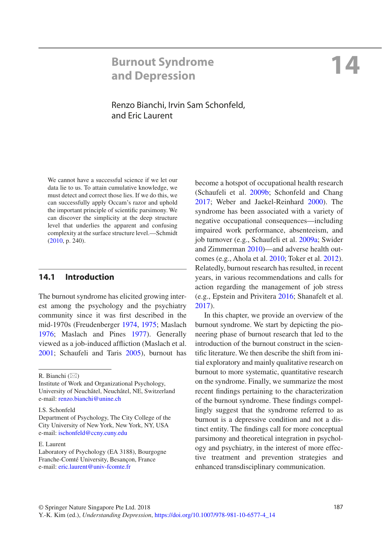## **Burnout Syndrome and Depression**

# **14**

## Renzo Bianchi, Irvin Sam Schonfeld, and Eric Laurent

We cannot have a successful science if we let our data lie to us. To attain cumulative knowledge, we must detect and correct those lies. If we do this, we can successfully apply Occam's razor and uphold the important principle of scientific parsimony. We can discover the simplicity at the deep structure level that underlies the apparent and confusing complexity at the surface structure level.—Schmidt ([2010,](#page-14-0) p. 240).

## **14.1 Introduction**

The burnout syndrome has elicited growing interest among the psychology and the psychiatry community since it was first described in the mid-1970s (Freudenberger [1974](#page-12-0), [1975;](#page-12-1) Maslach [1976](#page-13-0); Maslach and Pines [1977\)](#page-13-1). Generally viewed as a job-induced affliction (Maslach et al. [2001](#page-13-2); Schaufeli and Taris [2005](#page-14-1)), burnout has

I.S. Schonfeld

become a hotspot of occupational health research (Schaufeli et al. [2009b](#page-14-2); Schonfeld and Chang [2017;](#page-14-3) Weber and Jaekel-Reinhard [2000](#page-15-0)). The syndrome has been associated with a variety of negative occupational consequences—including impaired work performance, absenteeism, and job turnover (e.g., Schaufeli et al. [2009a;](#page-14-4) Swider and Zimmerman [2010](#page-15-1))—and adverse health outcomes (e.g., Ahola et al. [2010](#page-11-0); Toker et al. [2012\)](#page-15-2). Relatedly, burnout research has resulted, in recent years, in various recommendations and calls for action regarding the management of job stress (e.g., Epstein and Privitera [2016;](#page-12-2) Shanafelt et al. [2017\)](#page-14-5).

In this chapter, we provide an overview of the burnout syndrome. We start by depicting the pioneering phase of burnout research that led to the introduction of the burnout construct in the scientific literature. We then describe the shift from initial exploratory and mainly qualitative research on burnout to more systematic, quantitative research on the syndrome. Finally, we summarize the most recent findings pertaining to the characterization of the burnout syndrome. These findings compellingly suggest that the syndrome referred to as burnout is a depressive condition and not a distinct entity. The findings call for more conceptual parsimony and theoretical integration in psychology and psychiatry, in the interest of more effective treatment and prevention strategies and enhanced transdisciplinary communication.

R. Bianchi  $(\boxtimes)$ 

Institute of Work and Organizational Psychology, University of Neuchâtel, Neuchâtel, NE, Switzerland e-mail[: renzo.bianchi@unine.ch](mailto:renzo.bianchi@unine.ch)

Department of Psychology, The City College of the City University of New York, New York, NY, USA e-mail[: ischonfeld@ccny.cuny.edu](mailto:ischonfeld@ccny.cuny.edu)

E. Laurent

Laboratory of Psychology (EA 3188), Bourgogne Franche-Comté University, Besançon, France e-mail[: eric.laurent@univ-fcomte.fr](mailto:eric.laurent@univ-fcomte.fr)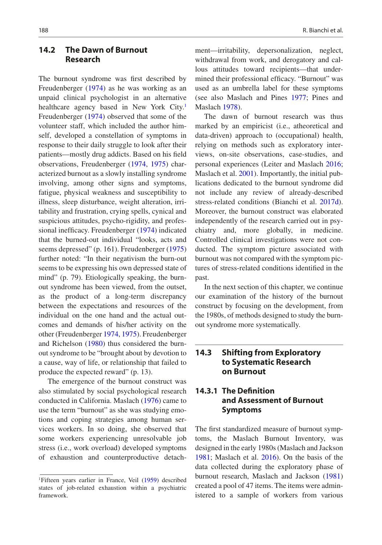## **14.2 The Dawn of Burnout Research**

The burnout syndrome was first described by Freudenberger [\(1974](#page-12-0)) as he was working as an unpaid clinical psychologist in an alternative healthcare agency based in New York City.<sup>[1](#page-1-0)</sup> Freudenberger ([1974\)](#page-12-0) observed that some of the volunteer staff, which included the author himself, developed a constellation of symptoms in response to their daily struggle to look after their patients—mostly drug addicts. Based on his field observations, Freudenberger ([1974,](#page-12-0) [1975](#page-12-1)) characterized burnout as a slowly installing syndrome involving, among other signs and symptoms, fatigue, physical weakness and susceptibility to illness, sleep disturbance, weight alteration, irritability and frustration, crying spells, cynical and suspicious attitudes, psycho-rigidity, and professional inefficacy. Freudenberger [\(1974](#page-12-0)) indicated that the burned-out individual "looks, acts and seems depressed" (p. 161). Freudenberger [\(1975](#page-12-1)) further noted: "In their negativism the burn-out seems to be expressing his own depressed state of mind" (p. 79). Etiologically speaking, the burnout syndrome has been viewed, from the outset, as the product of a long-term discrepancy between the expectations and resources of the individual on the one hand and the actual outcomes and demands of his/her activity on the other (Freudenberger [1974,](#page-12-0) [1975\)](#page-12-1). Freudenberger and Richelson ([1980\)](#page-12-3) thus considered the burnout syndrome to be "brought about by devotion to a cause, way of life, or relationship that failed to produce the expected reward" (p. 13).

The emergence of the burnout construct was also stimulated by social psychological research conducted in California. Maslach ([1976\)](#page-13-0) came to use the term "burnout" as she was studying emotions and coping strategies among human services workers. In so doing, she observed that some workers experiencing unresolvable job stress (i.e., work overload) developed symptoms of exhaustion and counterproductive detach-

ment—irritability, depersonalization, neglect, withdrawal from work, and derogatory and callous attitudes toward recipients—that undermined their professional efficacy. "Burnout" was used as an umbrella label for these symptoms (see also Maslach and Pines [1977;](#page-13-1) Pines and Maslach [1978](#page-14-6)).

The dawn of burnout research was thus marked by an empiricist (i.e., atheoretical and data-driven) approach to (occupational) health, relying on methods such as exploratory interviews, on-site observations, case-studies, and personal experiences (Leiter and Maslach [2016;](#page-13-3) Maslach et al. [2001\)](#page-13-2). Importantly, the initial publications dedicated to the burnout syndrome did not include any review of already-described stress-related conditions (Bianchi et al. [2017d\)](#page-12-4). Moreover, the burnout construct was elaborated independently of the research carried out in psychiatry and, more globally, in medicine. Controlled clinical investigations were not conducted. The symptom picture associated with burnout was not compared with the symptom pictures of stress-related conditions identified in the past.

In the next section of this chapter, we continue our examination of the history of the burnout construct by focusing on the development, from the 1980s, of methods designed to study the burnout syndrome more systematically.

## **14.3 Shifting from Exploratory to Systematic Research on Burnout**

## **14.3.1 The Definition and Assessment of Burnout Symptoms**

The first standardized measure of burnout symptoms, the Maslach Burnout Inventory, was designed in the early 1980s (Maslach and Jackson [1981;](#page-13-4) Maslach et al. [2016](#page-13-5)). On the basis of the data collected during the exploratory phase of burnout research, Maslach and Jackson [\(1981](#page-13-4)) created a pool of 47 items. The items were administered to a sample of workers from various

<span id="page-1-0"></span><sup>&</sup>lt;sup>1</sup>Fifteen years earlier in France, Veil [\(1959](#page-15-3)) described states of job-related exhaustion within a psychiatric framework.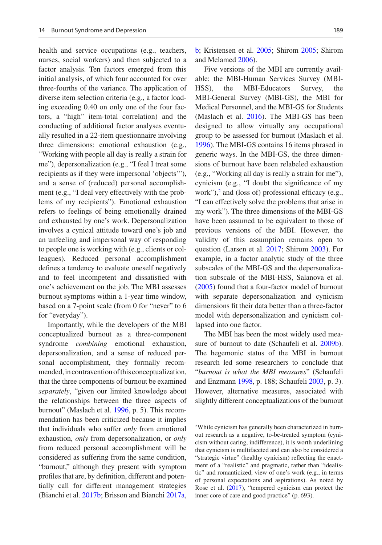health and service occupations (e.g., teachers, nurses, social workers) and then subjected to a factor analysis. Ten factors emerged from this initial analysis, of which four accounted for over three-fourths of the variance. The application of diverse item selection criteria (e.g., a factor loading exceeding 0.40 on only one of the four factors, a "high" item-total correlation) and the conducting of additional factor analyses eventually resulted in a 22-item questionnaire involving three dimensions: emotional exhaustion (e.g., "Working with people all day is really a strain for me"), depersonalization (e.g., "I feel I treat some recipients as if they were impersonal 'objects'"), and a sense of (reduced) personal accomplishment (e.g., "I deal very effectively with the problems of my recipients"). Emotional exhaustion refers to feelings of being emotionally drained and exhausted by one's work. Depersonalization involves a cynical attitude toward one's job and an unfeeling and impersonal way of responding to people one is working with (e.g., clients or colleagues). Reduced personal accomplishment defines a tendency to evaluate oneself negatively and to feel incompetent and dissatisfied with one's achievement on the job. The MBI assesses burnout symptoms within a 1-year time window, based on a 7-point scale (from 0 for "never" to 6 for "everyday").

Importantly, while the developers of the MBI conceptualized burnout as a three-component syndrome *combining* emotional exhaustion, depersonalization, and a sense of reduced personal accomplishment, they formally recommended, in contravention of this conceptualization, that the three components of burnout be examined *separately*, "given our limited knowledge about the relationships between the three aspects of burnout" (Maslach et al. [1996,](#page-13-6) p. 5). This recommendation has been criticized because it implies that individuals who suffer *only* from emotional exhaustion, *only* from depersonalization, or *only* from reduced personal accomplishment will be considered as suffering from the same condition, "burnout," although they present with symptom profiles that are, by definition, different and potentially call for different management strategies (Bianchi et al. [2017b](#page-12-5); Brisson and Bianchi [2017a](#page-12-6),

[b;](#page-12-7) Kristensen et al. [2005;](#page-13-7) Shirom [2005;](#page-14-7) Shirom and Melamed [2006](#page-15-4)).

Five versions of the MBI are currently available: the MBI-Human Services Survey (MBI-HSS), the MBI-Educators Survey, the MBI-General Survey (MBI-GS), the MBI for Medical Personnel, and the MBI-GS for Students (Maslach et al. [2016](#page-13-5)). The MBI-GS has been designed to allow virtually any occupational group to be assessed for burnout (Maslach et al. [1996\)](#page-13-6). The MBI-GS contains 16 items phrased in generic ways. In the MBI-GS, the three dimensions of burnout have been relabeled exhaustion (e.g., "Working all day is really a strain for me"), cynicism (e.g., "I doubt the significance of my work"), $^2$  $^2$  and (loss of) professional efficacy (e.g., "I can effectively solve the problems that arise in my work"). The three dimensions of the MBI-GS have been assumed to be equivalent to those of previous versions of the MBI. However, the validity of this assumption remains open to question (Larsen et al. [2017](#page-13-8); Shirom [2003\)](#page-14-8). For example, in a factor analytic study of the three subscales of the MBI-GS and the depersonalization subscale of the MBI-HSS, Salanova et al. [\(2005](#page-14-9)) found that a four-factor model of burnout with separate depersonalization and cynicism dimensions fit their data better than a three-factor model with depersonalization and cynicism collapsed into one factor.

The MBI has been the most widely used mea-sure of burnout to date (Schaufeli et al. [2009b\)](#page-14-2). The hegemonic status of the MBI in burnout research led some researchers to conclude that "*burnout is what the MBI measures*" (Schaufeli and Enzmann [1998,](#page-14-10) p. 188; Schaufeli [2003,](#page-14-11) p. 3). However, alternative measures, associated with slightly different conceptualizations of the burnout

<span id="page-2-0"></span><sup>2</sup>While cynicism has generally been characterized in burnout research as a negative, to-be-treated symptom (cynicism without caring, indifference), it is worth underlining that cynicism is multifaceted and can also be considered a "strategic virtue" (healthy cynicism) reflecting the enactment of a "realistic" and pragmatic, rather than "idealistic" and romanticized, view of one's work (e.g., in terms of personal expectations and aspirations). As noted by Rose et al. ([2017\)](#page-14-12), "tempered cynicism can protect the inner core of care and good practice" (p. 693).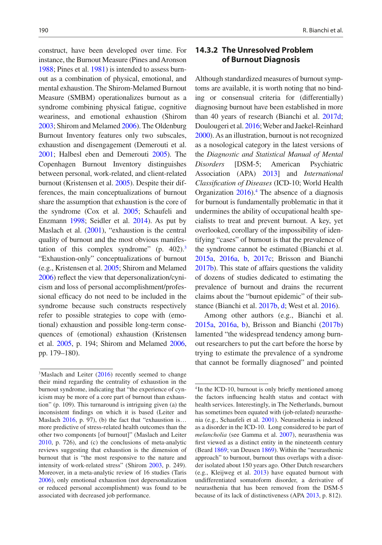construct, have been developed over time. For instance, the Burnout Measure (Pines and Aronson [1988;](#page-14-13) Pines et al. [1981\)](#page-14-14) is intended to assess burnout as a combination of physical, emotional, and mental exhaustion. The Shirom-Melamed Burnout Measure (SMBM) operationalizes burnout as a syndrome combining physical fatigue, cognitive weariness, and emotional exhaustion (Shirom [2003;](#page-14-8) Shirom and Melamed [2006\)](#page-15-4). The Oldenburg Burnout Inventory features only two subscales, exhaustion and disengagement (Demerouti et al. [2001;](#page-12-8) Halbesl eben and Demerouti [2005](#page-13-9)). The Copenhagen Burnout Inventory distinguishes between personal, work-related, and client-related burnout (Kristensen et al. [2005\)](#page-13-7). Despite their differences, the main conceptualizations of burnout share the assumption that exhaustion is the core of the syndrome (Cox et al. [2005;](#page-12-9) Schaufeli and Enzmann [1998;](#page-14-10) Seidler et al. [2014](#page-14-15)). As put by Maslach et al. [\(2001\)](#page-13-2), "exhaustion is the central quality of burnout and the most obvious manifestation of this complex syndrome"  $(p. 402)^3$  $(p. 402)^3$ "Exhaustion-only" conceptualizations of burnout (e.g., Kristensen et al. [2005](#page-13-7); Shirom and Melamed [2006\)](#page-15-4) reflect the view that depersonalization/cynicism and loss of personal accomplishment/professional efficacy do not need to be included in the syndrome because such constructs respectively refer to possible strategies to cope with (emotional) exhaustion and possible long-term consequences of (emotional) exhaustion (Kristensen et al. [2005,](#page-13-7) p. 194; Shirom and Melamed [2006](#page-15-4), pp. 179–180).

## **14.3.2 The Unresolved Problem of Burnout Diagnosis**

Although standardized measures of burnout symptoms are available, it is worth noting that no binding or consensual criteria for (differentially) diagnosing burnout have been established in more than 40 years of research (Bianchi et al. [2017d;](#page-12-4) Doulougeri et al. [2016](#page-12-10); Weber and Jaekel-Reinhard [2000\)](#page-15-0). As an illustration, burnout is not recognized as a nosological category in the latest versions of the *Diagnostic and Statistical Manual of Mental Disorders* [DSM-5; American Psychiatric Association (APA) [2013\]](#page-11-1) and *International Classification of Diseases* (ICD-10; World Health Organization [2016\)](#page-15-6).<sup>4</sup> The absence of a diagnosis for burnout is fundamentally problematic in that it undermines the ability of occupational health specialists to treat and prevent burnout. A key, yet overlooked, corollary of the impossibility of identifying "cases" of burnout is that the prevalence of the syndrome cannot be estimated (Bianchi et al. [2015a,](#page-12-11) [2016a,](#page-12-12) [b](#page-12-13), [2017c](#page-12-14); Brisson and Bianchi [2017b](#page-12-7)). This state of affairs questions the validity of dozens of studies dedicated to estimating the prevalence of burnout and drains the recurrent claims about the "burnout epidemic" of their substance (Bianchi et al. [2017b,](#page-12-5) [d](#page-12-4); West et al. [2016\)](#page-15-7).

Among other authors (e.g., Bianchi et al. [2015a](#page-12-11), [2016a](#page-12-12), [b\)](#page-12-13), Brisson and Bianchi [\(2017b](#page-12-7)) lamented "the widespread tendency among burnout researchers to put the cart before the horse by trying to estimate the prevalence of a syndrome that cannot be formally diagnosed" and pointed

<span id="page-3-0"></span><sup>&</sup>lt;sup>3</sup>Maslach and Leiter [\(2016](#page-13-10)) recently seemed to change their mind regarding the centrality of exhaustion in the burnout syndrome, indicating that "the experience of cynicism may be more of a core part of burnout than exhaustion" (p. 109). This turnaround is intriguing given (a) the inconsistent findings on which it is based (Leiter and Maslach [2016,](#page-13-3) p. 97), (b) the fact that "exhaustion is... more predictive of stress-related health outcomes than the other two components [of burnout]" (Maslach and Leiter [2010](#page-13-11), p. 726), and (c) the conclusions of meta-analytic reviews suggesting that exhaustion is the dimension of burnout that is "the most responsive to the nature and intensity of work-related stress" (Shirom [2003](#page-14-8), p. 249). Moreover, in a meta-analytic review of 16 studies (Taris [2006](#page-15-5)), only emotional exhaustion (not depersonalization or reduced personal accomplishment) was found to be associated with decreased job performance.

<span id="page-3-1"></span><sup>&</sup>lt;sup>4</sup>In the ICD-10, burnout is only briefly mentioned among the factors influencing health status and contact with health services. Interestingly, in The Netherlands, burnout has sometimes been equated with (job-related) neurasthenia (e.g., Schaufeli et al. [2001](#page-14-16)). Neurasthenia is indexed as a disorder in the ICD-10. Long considered to be part of *melancholia* (see Gamma et al. [2007\)](#page-12-15), neurasthenia was first viewed as a distinct entity in the nineteenth century (Beard [1869](#page-12-16); van Deusen [1869\)](#page-15-8). Within the "neurasthenic approach" to burnout, burnout thus overlaps with a disorder isolated about 150 years ago. Other Dutch researchers (e.g., Kleijweg et al. [2013](#page-13-12)) have equated burnout with undifferentiated somatoform disorder, a derivative of neurasthenia that has been removed from the DSM-5 because of its lack of distinctiveness (APA [2013,](#page-11-1) p. 812).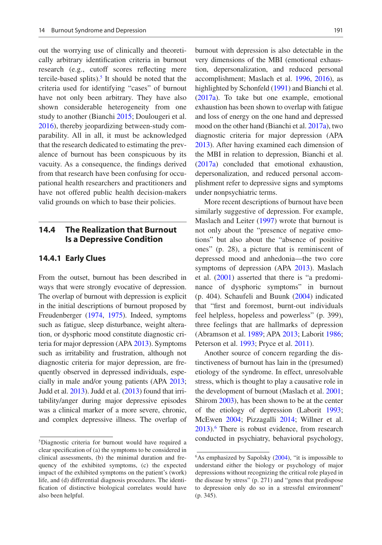out the worrying use of clinically and theoretically arbitrary identification criteria in burnout research (e.g., cutoff scores reflecting mere tercile-based splits). $<sup>5</sup>$  It should be noted that the</sup> criteria used for identifying "cases" of burnout have not only been arbitrary. They have also shown considerable heterogeneity from one study to another (Bianchi [2015](#page-12-17); Doulougeri et al. [2016](#page-12-10)), thereby jeopardizing between-study comparability. All in all, it must be acknowledged that the research dedicated to estimating the prevalence of burnout has been conspicuous by its vacuity. As a consequence, the findings derived from that research have been confusing for occupational health researchers and practitioners and have not offered public health decision-makers valid grounds on which to base their policies.

## **14.4 The Realization that Burnout Is a Depressive Condition**

#### **14.4.1 Early Clues**

From the outset, burnout has been described in ways that were strongly evocative of depression. The overlap of burnout with depression is explicit in the initial descriptions of burnout proposed by Freudenberger ([1974](#page-12-0), [1975](#page-12-1)). Indeed, symptoms such as fatigue, sleep disturbance, weight alteration, or dysphoric mood constitute diagnostic criteria for major depression (APA [2013\)](#page-11-1). Symptoms such as irritability and frustration, although not diagnostic criteria for major depression, are frequently observed in depressed individuals, especially in male and/or young patients (APA [2013;](#page-11-1) Judd et al. [2013](#page-13-13)). Judd et al. ([2013](#page-13-13)) found that irritability/anger during major depressive episodes was a clinical marker of a more severe, chronic, and complex depressive illness. The overlap of burnout with depression is also detectable in the very dimensions of the MBI (emotional exhaustion, depersonalization, and reduced personal accomplishment; Maslach et al. [1996,](#page-13-6) [2016\)](#page-13-5), as highlighted by Schonfeld [\(1991\)](#page-14-17) and Bianchi et al. [\(2017a](#page-12-18)). To take but one example, emotional exhaustion has been shown to overlap with fatigue and loss of energy on the one hand and depressed mood on the other hand (Bianchi et al. [2017a](#page-12-18)), two diagnostic criteria for major depression (APA [2013\)](#page-11-1). After having examined each dimension of the MBI in relation to depression, Bianchi et al. [\(2017a](#page-12-18)) concluded that emotional exhaustion, depersonalization, and reduced personal accomplishment refer to depressive signs and symptoms under nonpsychiatric terms.

More recent descriptions of burnout have been similarly suggestive of depression. For example, Maslach and Leiter ([1997\)](#page-13-14) wrote that burnout is not only about the "presence of negative emotions" but also about the "absence of positive ones" (p. 28), a picture that is reminiscent of depressed mood and anhedonia—the two core symptoms of depression (APA [2013\)](#page-11-1). Maslach et al. [\(2001](#page-13-2)) asserted that there is "a predominance of dysphoric symptoms" in burnout (p. 404). Schaufeli and Buunk ([2004\)](#page-14-18) indicated that "first and foremost, burnt-out individuals feel helpless, hopeless and powerless" (p. 399), three feelings that are hallmarks of depression (Abramson et al. [1989](#page-11-2); APA [2013;](#page-11-1) Laborit [1986;](#page-13-15) Peterson et al. [1993;](#page-14-19) Pryce et al. [2011](#page-14-20)).

Another source of concern regarding the distinctiveness of burnout has lain in the (presumed) etiology of the syndrome. In effect, unresolvable stress, which is thought to play a causative role in the development of burnout (Maslach et al. [2001;](#page-13-2) Shirom [2003](#page-14-8)), has been shown to be at the center of the etiology of depression (Laborit [1993;](#page-13-16) McEwen [2004](#page-14-21); Pizzagalli [2014;](#page-14-22) Willner et al. [2013\)](#page-15-9).<sup>6</sup> There is robust evidence, from research conducted in psychiatry, behavioral psychology,

<span id="page-4-0"></span><sup>5</sup>Diagnostic criteria for burnout would have required a clear specification of (a) the symptoms to be considered in clinical assessments, (b) the minimal duration and frequency of the exhibited symptoms, (c) the expected impact of the exhibited symptoms on the patient's (work) life, and (d) differential diagnosis procedures. The identification of distinctive biological correlates would have also been helpful.

<span id="page-4-1"></span> $6$ As emphasized by Sapolsky  $(2004)$  $(2004)$ , "it is impossible to understand either the biology or psychology of major depressions without recognizing the critical role played in the disease by stress" (p. 271) and "genes that predispose to depression only do so in a stressful environment" (p. 345).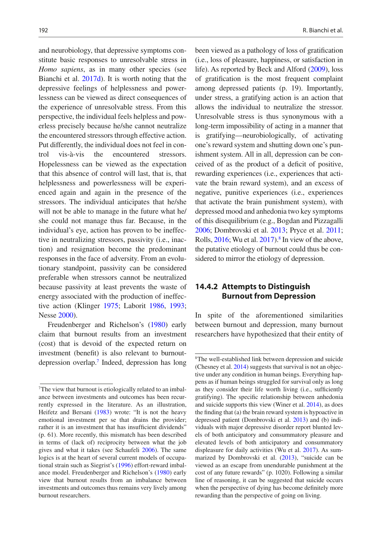and neurobiology, that depressive symptoms constitute basic responses to unresolvable stress in *Homo sapiens*, as in many other species (see Bianchi et al. [2017d](#page-12-4)). It is worth noting that the depressive feelings of helplessness and powerlessness can be viewed as direct consequences of the experience of unresolvable stress. From this perspective, the individual feels helpless and powerless precisely because he/she cannot neutralize the encountered stressors through effective action. Put differently, the individual does not feel in control vis-à-vis the encountered stressors. Hopelessness can be viewed as the expectation that this absence of control will last, that is, that helplessness and powerlessness will be experienced again and again in the presence of the stressors. The individual anticipates that he/she will not be able to manage in the future what he/ she could not manage thus far. Because, in the individual's eye, action has proven to be ineffective in neutralizing stressors, passivity (i.e., inaction) and resignation become the predominant responses in the face of adversity. From an evolutionary standpoint, passivity can be considered preferable when stressors cannot be neutralized because passivity at least prevents the waste of energy associated with the production of ineffective action (Klinger [1975](#page-13-17); Laborit [1986](#page-13-15), [1993;](#page-13-16) Nesse [2000\)](#page-14-24).

Freudenberger and Richelson's ([1980](#page-12-3)) early claim that burnout results from an investment (cost) that is devoid of the expected return on investment (benefit) is also relevant to burnoutdepression overlap.[7](#page-5-0) Indeed, depression has long

been viewed as a pathology of loss of gratification (i.e., loss of pleasure, happiness, or satisfaction in life). As reported by Beck and Alford [\(2009](#page-12-19)), loss of gratification is the most frequent complaint among depressed patients (p. 19). Importantly, under stress, a gratifying action is an action that allows the individual to neutralize the stressor. Unresolvable stress is thus synonymous with a long-term impossibility of acting in a manner that is gratifying—neurobiologically, of activating one's reward system and shutting down one's punishment system. All in all, depression can be conceived of as the product of a deficit of positive, rewarding experiences (i.e., experiences that activate the brain reward system), and an excess of negative, punitive experiences (i.e., experiences that activate the brain punishment system), with depressed mood and anhedonia two key symptoms of this disequilibrium (e.g., Bogdan and Pizzagalli [2006;](#page-12-20) Dombrovski et al. [2013](#page-12-21); Pryce et al. [2011;](#page-14-20) Rolls,  $2016$ ; Wu et al.  $2017$ ).<sup>8</sup> In view of the above, the putative etiology of burnout could thus be considered to mirror the etiology of depression.

## **14.4.2 Attempts to Distinguish Burnout from Depression**

In spite of the aforementioned similarities between burnout and depression, many burnout researchers have hypothesized that their entity of

<span id="page-5-0"></span><sup>&</sup>lt;sup>7</sup>The view that burnout is etiologically related to an imbalance between investments and outcomes has been recurrently expressed in the literature. As an illustration, Heifetz and Bersani ([1983\)](#page-13-18) wrote: "It is not the heavy emotional investment per se that drains the provider; rather it is an investment that has insufficient dividends" (p. 61). More recently, this mismatch has been described in terms of (lack of) reciprocity between what the job gives and what it takes (see Schaufeli [2006\)](#page-14-25). The same logics is at the heart of several current models of occupational strain such as Siegrist's ([1996\)](#page-15-10) effort-reward imbalance model. Freudenberger and Richelson's [\(1980](#page-12-3)) early view that burnout results from an imbalance between investments and outcomes thus remains very lively among burnout researchers.

<span id="page-5-1"></span><sup>8</sup>The well-established link between depression and suicide (Chesney et al. [2014\)](#page-12-22) suggests that survival is not an objective under any condition in human beings. Everything happens as if human beings struggled for survival only as long as they consider their life worth living (i.e., sufficiently gratifying). The specific relationship between anhedonia and suicide supports this view (Winer et al. [2014](#page-15-12)), as does the finding that (a) the brain reward system is hypoactive in depressed patient (Dombrovski et al. [2013](#page-12-21)) and (b) individuals with major depressive disorder report blunted levels of both anticipatory and consummatory pleasure and elevated levels of both anticipatory and consummatory displeasure for daily activities (Wu et al. [2017](#page-15-11)). As summarized by Dombrovski et al. ([2013](#page-12-21)), "suicide can be viewed as an escape from unendurable punishment at the cost of any future rewards" (p. 1020). Following a similar line of reasoning, it can be suggested that suicide occurs when the perspective of dying has become definitely more rewarding than the perspective of going on living.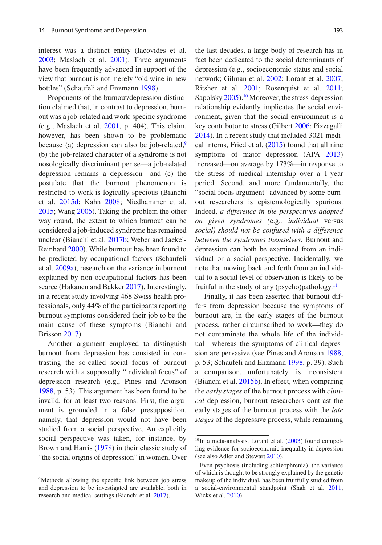interest was a distinct entity (Iacovides et al. [2003](#page-13-19); Maslach et al. [2001\)](#page-13-2). Three arguments have been frequently advanced in support of the view that burnout is not merely "old wine in new bottles" (Schaufeli and Enzmann [1998](#page-14-10)).

Proponents of the burnout/depression distinction claimed that, in contrast to depression, burnout was a job-related and work-specific syndrome (e.g., Maslach et al. [2001,](#page-13-2) p. 404). This claim, however, has been shown to be problematic because (a) depression can also be job-related, $9$ (b) the job-related character of a syndrome is not nosologically discriminant per se—a job-related depression remains a depression—and (c) the postulate that the burnout phenomenon is restricted to work is logically specious (Bianchi et al. [2015d;](#page-12-23) Kahn [2008;](#page-13-20) Niedhammer et al. [2015](#page-14-27); Wang [2005\)](#page-15-13). Taking the problem the other way round, the extent to which burnout can be considered a job-induced syndrome has remained unclear (Bianchi et al. [2017b;](#page-12-5) Weber and Jaekel-Reinhard [2000\)](#page-15-0). While burnout has been found to be predicted by occupational factors (Schaufeli et al. [2009a\)](#page-14-4), research on the variance in burnout explained by non-occupational factors has been scarce (Hakanen and Bakker [2017](#page-13-21)). Interestingly, in a recent study involving 468 Swiss health professionals, only 44% of the participants reporting burnout symptoms considered their job to be the main cause of these symptoms (Bianchi and Brisson [2017](#page-12-24)).

Another argument employed to distinguish burnout from depression has consisted in contrasting the so-called social focus of burnout research with a supposedly "individual focus" of depression research (e.g., Pines and Aronson [1988,](#page-14-13) p. 53). This argument has been found to be invalid, for at least two reasons. First, the argument is grounded in a false presupposition, namely, that depression would not have been studied from a social perspective. An explicitly social perspective was taken, for instance, by Brown and Harris [\(1978\)](#page-12-25) in their classic study of "the social origins of depression" in women. Over

the last decades, a large body of research has in fact been dedicated to the social determinants of depression (e.g., socioeconomic status and social network; Gilman et al. [2002](#page-12-26); Lorant et al. [2007;](#page-13-22) Ritsher et al. [2001](#page-14-28); Rosenquist et al. [2011;](#page-14-29) Sapolsky [2005\)](#page-14-30).<sup>[10](#page-6-1)</sup> Moreover, the stress-depression relationship evidently implicates the social environment, given that the social environment is a key contributor to stress (Gilbert [2006](#page-12-27); Pizzagalli [2014\)](#page-14-22). In a recent study that included 3021 medical interns, Fried et al. [\(2015\)](#page-12-28) found that all nine symptoms of major depression (APA [2013](#page-11-1)) increased—on average by 173%—in response to the stress of medical internship over a 1-year period. Second, and more fundamentally, the "social focus argument" advanced by some burnout researchers is epistemologically spurious. Indeed, *a difference in the perspectives adopted on given syndromes (*e.g.*, individual* versus *social) should not be confused with a difference between the syndromes themselves*. Burnout and depression can both be examined from an individual or a social perspective. Incidentally, we note that moving back and forth from an individual to a social level of observation is likely to be fruitful in the study of any (psycho)pathology. $<sup>11</sup>$ </sup>

Finally, it has been asserted that burnout differs from depression because the symptoms of burnout are, in the early stages of the burnout process, rather circumscribed to work—they do not contaminate the whole life of the individual—whereas the symptoms of clinical depression are pervasive (see Pines and Aronson [1988](#page-14-13), p. 53; Schaufeli and Enzmann [1998](#page-14-10), p. 39). Such a comparison, unfortunately, is inconsistent (Bianchi et al. [2015b](#page-12-29)). In effect, when comparing the *early stages* of the burnout process with *clinical* depression, burnout researchers contrast the early stages of the burnout process with the *late stages* of the depressive process, while remaining

<span id="page-6-0"></span><sup>9</sup>Methods allowing the specific link between job stress and depression to be investigated are available, both in research and medical settings (Bianchi et al. [2017](#page-12-4)).

<span id="page-6-1"></span> $10$  In a meta-analysis, Lorant et al.  $(2003)$  $(2003)$  found compelling evidence for socioeconomic inequality in depression (see also Adler and Stewart [2010\)](#page-11-3).

<span id="page-6-2"></span><sup>11</sup>Even psychosis (including schizophrenia), the variance of which is thought to be strongly explained by the genetic makeup of the individual, has been fruitfully studied from a social-environmental standpoint (Shah et al. [2011](#page-14-31); Wicks et al. [2010](#page-15-14)).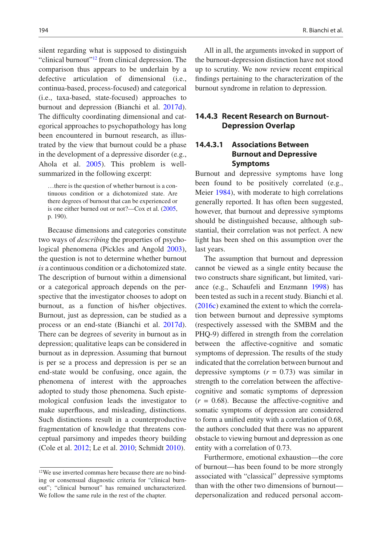silent regarding what is supposed to distinguish "clinical burnout"<sup>12</sup> from clinical depression. The comparison thus appears to be underlain by a defective articulation of dimensional (i.e., continua-based, process-focused) and categorical (i.e., taxa-based, state-focused) approaches to burnout and depression (Bianchi et al. [2017d\)](#page-12-4). The difficulty coordinating dimensional and categorical approaches to psychopathology has long been encountered in burnout research, as illustrated by the view that burnout could be a phase in the development of a depressive disorder (e.g., Ahola et al. [2005\)](#page-11-4). This problem is wellsummarized in the following excerpt:

…there is the question of whether burnout is a continuous condition or a dichotomized state. Are there degrees of burnout that can be experienced or is one either burned out or not?—Cox et al. [\(2005](#page-12-9), p. 190).

Because dimensions and categories constitute two ways of *describing* the properties of psychological phenomena (Pickles and Angold [2003\)](#page-14-32), the question is not to determine whether burnout *is* a continuous condition or a dichotomized state. The description of burnout within a dimensional or a categorical approach depends on the perspective that the investigator chooses to adopt on burnout, as a function of his/her objectives. Burnout, just as depression, can be studied as a process or an end-state (Bianchi et al. [2017d\)](#page-12-4). There can be degrees of severity in burnout as in depression; qualitative leaps can be considered in burnout as in depression. Assuming that burnout is per se a process and depression is per se an end-state would be confusing, once again, the phenomena of interest with the approaches adopted to study those phenomena. Such epistemological confusion leads the investigator to make superfluous, and misleading, distinctions. Such distinctions result in a counterproductive fragmentation of knowledge that threatens conceptual parsimony and impedes theory building (Cole et al. [2012;](#page-12-30) Le et al. [2010;](#page-13-24) Schmidt [2010](#page-14-0)).

<span id="page-7-0"></span><sup>12</sup>We use inverted commas here because there are no binding or consensual diagnostic criteria for "clinical burnout"; "clinical burnout" has remained uncharacterized. We follow the same rule in the rest of the chapter.

All in all, the arguments invoked in support of the burnout-depression distinction have not stood up to scrutiny. We now review recent empirical findings pertaining to the characterization of the burnout syndrome in relation to depression.

## **14.4.3 Recent Research on Burnout-Depression Overlap**

## **14.4.3.1 Associations Between Burnout and Depressive Symptoms**

Burnout and depressive symptoms have long been found to be positively correlated (e.g., Meier [1984\)](#page-14-33), with moderate to high correlations generally reported. It has often been suggested, however, that burnout and depressive symptoms should be distinguished because, although substantial, their correlation was not perfect. A new light has been shed on this assumption over the last years.

The assumption that burnout and depression cannot be viewed as a single entity because the two constructs share significant, but limited, variance (e.g., Schaufeli and Enzmann [1998\)](#page-14-10) has been tested as such in a recent study. Bianchi et al. [\(2016c](#page-12-31)) examined the extent to which the correlation between burnout and depressive symptoms (respectively assessed with the SMBM and the PHQ-9) differed in strength from the correlation between the affective-cognitive and somatic symptoms of depression. The results of the study indicated that the correlation between burnout and depressive symptoms  $(r = 0.73)$  was similar in strength to the correlation between the affectivecognitive and somatic symptoms of depression  $(r = 0.68)$ . Because the affective-cognitive and somatic symptoms of depression are considered to form a unified entity with a correlation of 0.68, the authors concluded that there was no apparent obstacle to viewing burnout and depression as one entity with a correlation of 0.73.

Furthermore, emotional exhaustion—the core of burnout—has been found to be more strongly associated with "classical" depressive symptoms than with the other two dimensions of burnout depersonalization and reduced personal accom-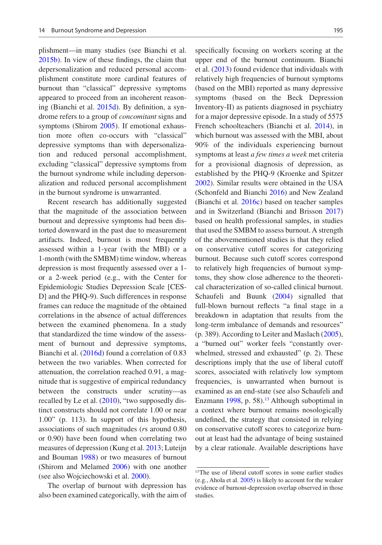plishment—in many studies (see Bianchi et al. [2015b](#page-12-29)). In view of these findings, the claim that depersonalization and reduced personal accomplishment constitute more cardinal features of burnout than "classical" depressive symptoms appeared to proceed from an incoherent reasoning (Bianchi et al. [2015d](#page-12-23)). By definition, a syndrome refers to a group of *concomitant* signs and symptoms (Shirom [2005](#page-14-7)). If emotional exhaustion more often co-occurs with "classical" depressive symptoms than with depersonalization and reduced personal accomplishment, excluding "classical" depressive symptoms from the burnout syndrome while including depersonalization and reduced personal accomplishment in the burnout syndrome is unwarranted.

Recent research has additionally suggested that the magnitude of the association between burnout and depressive symptoms had been distorted downward in the past due to measurement artifacts. Indeed, burnout is most frequently assessed within a 1-year (with the MBI) or a 1-month (with the SMBM) time window, whereas depression is most frequently assessed over a 1 or a 2-week period (e.g., with the Center for Epidemiologic Studies Depression Scale [CES-D] and the PHQ-9). Such differences in response frames can reduce the magnitude of the obtained correlations in the absence of actual differences between the examined phenomena. In a study that standardized the time window of the assessment of burnout and depressive symptoms, Bianchi et al. ([2016d\)](#page-12-32) found a correlation of 0.83 between the two variables. When corrected for attenuation, the correlation reached 0.91, a magnitude that is suggestive of empirical redundancy between the constructs under scrutiny—as recalled by Le et al. ([2010\)](#page-13-24), "two supposedly distinct constructs should not correlate 1.00 or near 1.00" (p. 113). In support of this hypothesis, associations of such magnitudes (*r*s around 0.80 or 0.90) have been found when correlating two measures of depression (Kung et al. [2013](#page-13-25); Luteijn and Bouman [1988](#page-13-26)) or two measures of burnout (Shirom and Melamed [2006\)](#page-15-4) with one another (see also Wojciechowski et al. [2000\)](#page-15-15).

The overlap of burnout with depression has also been examined categorically, with the aim of

specifically focusing on workers scoring at the upper end of the burnout continuum. Bianchi et al. ([2013\)](#page-12-33) found evidence that individuals with relatively high frequencies of burnout symptoms (based on the MBI) reported as many depressive symptoms (based on the Beck Depression Inventory-II) as patients diagnosed in psychiatry for a major depressive episode. In a study of 5575 French schoolteachers (Bianchi et al. [2014\)](#page-12-34), in which burnout was assessed with the MBI, about 90% of the individuals experiencing burnout symptoms at least *a few times a week* met criteria for a provisional diagnosis of depression, as established by the PHQ-9 (Kroenke and Spitzer [2002\)](#page-13-27). Similar results were obtained in the USA (Schonfeld and Bianchi [2016](#page-14-34)) and New Zealand (Bianchi et al. [2016c](#page-12-31)) based on teacher samples and in Switzerland (Bianchi and Brisson [2017](#page-12-24)) based on health professional samples, in studies that used the SMBM to assess burnout. A strength of the abovementioned studies is that they relied on conservative cutoff scores for categorizing burnout. Because such cutoff scores correspond to relatively high frequencies of burnout symptoms, they show close adherence to the theoretical characterization of so-called clinical burnout. Schaufeli and Buunk ([2004\)](#page-14-18) signalled that full-blown burnout reflects "a final stage in a breakdown in adaptation that results from the long-term imbalance of demands and resources" (p. 389). According to Leiter and Maslach ([2005\)](#page-13-28), a "burned out" worker feels "constantly overwhelmed, stressed and exhausted" (p. 2). These descriptions imply that the use of liberal cutoff scores, associated with relatively low symptom frequencies, is unwarranted when burnout is examined as an end-state (see also Schaufeli and Enzmann  $1998$ , p. 58).<sup>13</sup> Although suboptimal in a context where burnout remains nosologically undefined, the strategy that consisted in relying on conservative cutoff scores to categorize burnout at least had the advantage of being sustained by a clear rationale. Available descriptions have

<span id="page-8-0"></span><sup>&</sup>lt;sup>13</sup>The use of liberal cutoff scores in some earlier studies (e.g., Ahola et al. [2005\)](#page-11-4) is likely to account for the weaker evidence of burnout-depression overlap observed in those studies.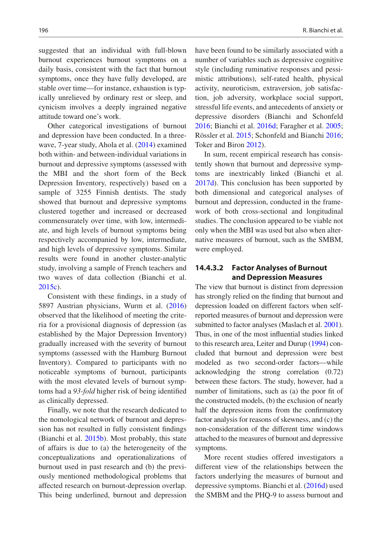suggested that an individual with full-blown burnout experiences burnout symptoms on a daily basis, consistent with the fact that burnout symptoms, once they have fully developed, are stable over time—for instance, exhaustion is typically unrelieved by ordinary rest or sleep, and cynicism involves a deeply ingrained negative attitude toward one's work.

Other categorical investigations of burnout and depression have been conducted. In a threewave, 7-year study, Ahola et al. [\(2014](#page-11-5)) examined both within- and between-individual variations in burnout and depressive symptoms (assessed with the MBI and the short form of the Beck Depression Inventory, respectively) based on a sample of 3255 Finnish dentists. The study showed that burnout and depressive symptoms clustered together and increased or decreased commensurately over time, with low, intermediate, and high levels of burnout symptoms being respectively accompanied by low, intermediate, and high levels of depressive symptoms. Similar results were found in another cluster-analytic study, involving a sample of French teachers and two waves of data collection (Bianchi et al. [2015c](#page-12-35)).

Consistent with these findings, in a study of 5897 Austrian physicians, Wurm et al. [\(2016](#page-15-16)) observed that the likelihood of meeting the criteria for a provisional diagnosis of depression (as established by the Major Depression Inventory) gradually increased with the severity of burnout symptoms (assessed with the Hamburg Burnout Inventory). Compared to participants with no noticeable symptoms of burnout, participants with the most elevated levels of burnout symptoms had a *93-fold* higher risk of being identified as clinically depressed.

Finally, we note that the research dedicated to the nomological network of burnout and depression has not resulted in fully consistent findings (Bianchi et al. [2015b](#page-12-29)). Most probably, this state of affairs is due to (a) the heterogeneity of the conceptualizations and operationalizations of burnout used in past research and (b) the previously mentioned methodological problems that affected research on burnout-depression overlap. This being underlined, burnout and depression

have been found to be similarly associated with a number of variables such as depressive cognitive style (including ruminative responses and pessimistic attributions), self-rated health, physical activity, neuroticism, extraversion, job satisfaction, job adversity, workplace social support, stressful life events, and antecedents of anxiety or depressive disorders (Bianchi and Schonfeld [2016;](#page-12-36) Bianchi et al. [2016d;](#page-12-32) Faragher et al. [2005;](#page-12-37) Rössler et al. [2015](#page-14-35); Schonfeld and Bianchi [2016;](#page-14-34) Toker and Biron [2012\)](#page-15-17).

In sum, recent empirical research has consistently shown that burnout and depressive symptoms are inextricably linked (Bianchi et al. [2017d\)](#page-12-4). This conclusion has been supported by both dimensional and categorical analyses of burnout and depression, conducted in the framework of both cross-sectional and longitudinal studies. The conclusion appeared to be viable not only when the MBI was used but also when alternative measures of burnout, such as the SMBM, were employed.

## **14.4.3.2 Factor Analyses of Burnout and Depression Measures**

The view that burnout is distinct from depression has strongly relied on the finding that burnout and depression loaded on different factors when selfreported measures of burnout and depression were submitted to factor analyses (Maslach et al. [2001\)](#page-13-2). Thus, in one of the most influential studies linked to this research area, Leiter and Durup [\(1994\)](#page-13-29) concluded that burnout and depression were best modeled as two second-order factors—while acknowledging the strong correlation (0.72) between these factors. The study, however, had a number of limitations, such as (a) the poor fit of the constructed models, (b) the exclusion of nearly half the depression items from the confirmatory factor analysis for reasons of skewness, and (c) the non-consideration of the different time windows attached to the measures of burnout and depressive symptoms.

More recent studies offered investigators a different view of the relationships between the factors underlying the measures of burnout and depressive symptoms. Bianchi et al. ([2016d\)](#page-12-32) used the SMBM and the PHQ-9 to assess burnout and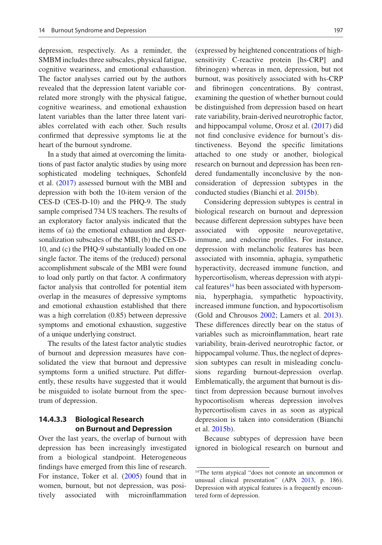depression, respectively. As a reminder, the SMBM includes three subscales, physical fatigue, cognitive weariness, and emotional exhaustion. The factor analyses carried out by the authors revealed that the depression latent variable correlated more strongly with the physical fatigue, cognitive weariness, and emotional exhaustion latent variables than the latter three latent variables correlated with each other. Such results confirmed that depressive symptoms lie at the heart of the burnout syndrome.

In a study that aimed at overcoming the limitations of past factor analytic studies by using more sophisticated modeling techniques, Schonfeld et al. ([2017](#page-14-36)) assessed burnout with the MBI and depression with both the 10-item version of the CES-D (CES-D-10) and the PHQ-9. The study sample comprised 734 US teachers. The results of an exploratory factor analysis indicated that the items of (a) the emotional exhaustion and depersonalization subscales of the MBI, (b) the CES-D-10, and (c) the PHQ-9 substantially loaded on one single factor. The items of the (reduced) personal accomplishment subscale of the MBI were found to load only partly on that factor. A confirmatory factor analysis that controlled for potential item overlap in the measures of depressive symptoms and emotional exhaustion established that there was a high correlation (0.85) between depressive symptoms and emotional exhaustion, suggestive of a unique underlying construct.

The results of the latest factor analytic studies of burnout and depression measures have consolidated the view that burnout and depressive symptoms form a unified structure. Put differently, these results have suggested that it would be misguided to isolate burnout from the spectrum of depression.

## **14.4.3.3 Biological Research on Burnout and Depression**

Over the last years, the overlap of burnout with depression has been increasingly investigated from a biological standpoint. Heterogeneous findings have emerged from this line of research. For instance, Toker et al. [\(2005](#page-15-18)) found that in women, burnout, but not depression, was positively associated with microinflammation (expressed by heightened concentrations of highsensitivity C-reactive protein [hs-CRP] and fibrinogen) whereas in men, depression, but not burnout, was positively associated with hs-CRP and fibrinogen concentrations. By contrast, examining the question of whether burnout could be distinguished from depression based on heart rate variability, brain-derived neurotrophic factor, and hippocampal volume, Orosz et al. [\(2017](#page-14-37)) did not find conclusive evidence for burnout's distinctiveness. Beyond the specific limitations attached to one study or another, biological research on burnout and depression has been rendered fundamentally inconclusive by the nonconsideration of depression subtypes in the conducted studies (Bianchi et al. [2015b\)](#page-12-29).

Considering depression subtypes is central in biological research on burnout and depression because different depression subtypes have been associated with opposite neurovegetative, immune, and endocrine profiles. For instance, depression with melancholic features has been associated with insomnia, aphagia, sympathetic hyperactivity, decreased immune function, and hypercortisolism, whereas depression with atypical features<sup>14</sup> has been associated with hypersomnia, hyperphagia, sympathetic hypoactivity, increased immune function, and hypocortisolism (Gold and Chrousos [2002](#page-12-38); Lamers et al. [2013\)](#page-13-30). These differences directly bear on the status of variables such as microinflammation, heart rate variability, brain-derived neurotrophic factor, or hippocampal volume. Thus, the neglect of depression subtypes can result in misleading conclusions regarding burnout-depression overlap. Emblematically, the argument that burnout is distinct from depression because burnout involves hypocortisolism whereas depression involves hypercortisolism caves in as soon as atypical depression is taken into consideration (Bianchi et al. [2015b\)](#page-12-29).

Because subtypes of depression have been ignored in biological research on burnout and

<span id="page-10-0"></span><sup>&</sup>lt;sup>14</sup>The term atypical "does not connote an uncommon or unusual clinical presentation" (APA [2013](#page-11-1), p. 186). Depression with atypical features is a frequently encountered form of depression.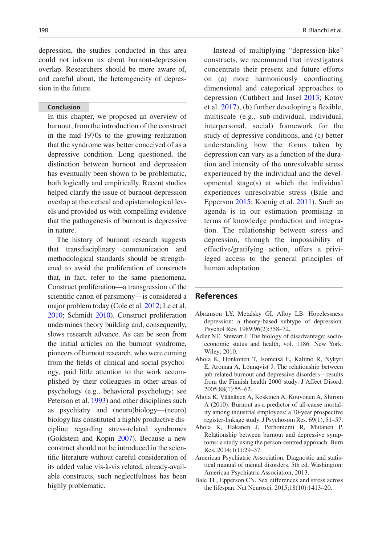depression, the studies conducted in this area could not inform us about burnout-depression overlap. Researchers should be more aware of, and careful about, the heterogeneity of depression in the future.

#### **Conclusion**

In this chapter, we proposed an overview of burnout, from the introduction of the construct in the mid-1970s to the growing realization that the syndrome was better conceived of as a depressive condition. Long questioned, the distinction between burnout and depression has eventually been shown to be problematic, both logically and empirically. Recent studies helped clarify the issue of burnout-depression overlap at theoretical and epistemological levels and provided us with compelling evidence that the pathogenesis of burnout is depressive in nature.

The history of burnout research suggests that transdisciplinary communication and methodological standards should be strengthened to avoid the proliferation of constructs that, in fact, refer to the same phenomena. Construct proliferation—a transgression of the scientific canon of parsimony—is considered a major problem today (Cole et al. [2012;](#page-12-30) Le et al. [2010;](#page-13-24) Schmidt [2010\)](#page-14-0). Construct proliferation undermines theory building and, consequently, slows research advance. As can be seen from the initial articles on the burnout syndrome, pioneers of burnout research, who were coming from the fields of clinical and social psychology, paid little attention to the work accomplished by their colleagues in other areas of psychology (e.g., behavioral psychology; see Peterson et al. [1993\)](#page-14-19) and other disciplines such as psychiatry and (neuro)biology—(neuro) biology has constituted a highly productive discipline regarding stress-related syndromes (Goldstein and Kopin [2007\)](#page-13-31). Because a new construct should not be introduced in the scientific literature without careful consideration of its added value vis-à-vis related, already-available constructs, such neglectfulness has been highly problematic.

Instead of multiplying "depression-like" constructs, we recommend that investigators concentrate their present and future efforts on (a) more harmoniously coordinating dimensional and categorical approaches to depression (Cuthbert and Insel [2013](#page-12-39); Kotov et al. [2017\)](#page-13-32), (b) further developing a flexible, multiscale (e.g., sub-individual, individual, interpersonal, social) framework for the study of depressive conditions, and (c) better understanding how the forms taken by depression can vary as a function of the duration and intensity of the unresolvable stress experienced by the individual and the developmental stage(s) at which the individual experiences unresolvable stress (Bale and Epperson [2015;](#page-11-6) Koenig et al. [2011](#page-13-33)). Such an agenda is in our estimation promising in terms of knowledge production and integration. The relationship between stress and depression, through the impossibility of effective/gratifying action, offers a privileged access to the general principles of human adaptation.

## **References**

- <span id="page-11-2"></span>Abramson LY, Metalsky GI, Alloy LB. Hopelessness depression: a theory-based subtype of depression. Psychol Rev. 1989;96(2):358–72.
- <span id="page-11-3"></span>Adler NE, Stewart J. The biology of disadvantage: socioeconomic status and health, vol. 1186. New York: Wiley; 2010.
- <span id="page-11-4"></span>Ahola K, Honkonen T, Isometsä E, Kalimo R, Nykyri E, Aromaa A, Lönnqvist J. The relationship between job-related burnout and depressive disorders—results from the Finnish health 2000 study. J Affect Disord. 2005;88(1):55–62.
- <span id="page-11-0"></span>Ahola K, Väänänen A, Koskinen A, Kouvonen A, Shirom A (2010). Burnout as a predictor of all-cause mortality among industrial employees: a 10-year prospective register-linkage study. J Psychosom Res. 69(1), 51–57.
- <span id="page-11-5"></span>Ahola K, Hakanen J, Perhoniemi R, Mutanen P. Relationship between burnout and depressive symptoms: a study using the person-centred approach. Burn Res. 2014;1(1):29–37.
- <span id="page-11-1"></span>American Psychiatric Association. Diagnostic and statistical manual of mental disorders. 5th ed. Washington: American Psychiatric Association; 2013.
- <span id="page-11-6"></span>Bale TL, Epperson CN. Sex differences and stress across the lifespan. Nat Neurosci. 2015;18(10):1413–20.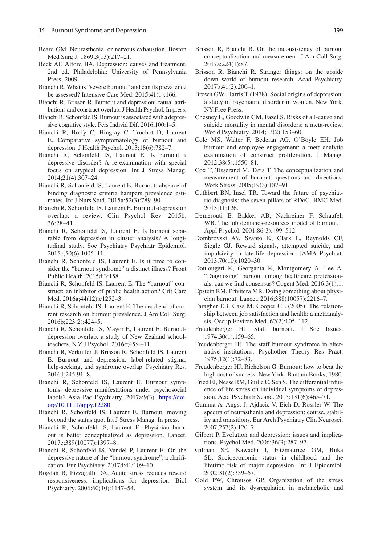- <span id="page-12-16"></span>Beard GM. Neurasthenia, or nervous exhaustion. Boston Med Surg J. 1869;3(13):217–21.
- <span id="page-12-19"></span>Beck AT, Alford BA. Depression: causes and treatment. 2nd ed. Philadelphia: University of Pennsylvania Press; 2009.
- <span id="page-12-17"></span>Bianchi R.What is "severe burnout" and can its prevalence be assessed? Intensive Care Med. 2015;41(1):166.
- <span id="page-12-24"></span>Bianchi R, Brisson R. Burnout and depression: causal attributions and construct overlap. J Health Psychol. In press.
- <span id="page-12-36"></span>Bianchi R, Schonfeld IS.Burnout is associated with a depressive cognitive style. Pers Individ Dif. 2016;100:1–5.
- <span id="page-12-33"></span>Bianchi R, Boffy C, Hingray C, Truchot D, Laurent E. Comparative symptomatology of burnout and depression. J Health Psychol. 2013;18(6):782–7.
- <span id="page-12-34"></span>Bianchi R, Schonfeld IS, Laurent E. Is burnout a depressive disorder? A re-examination with special focus on atypical depression. Int J Stress Manag. 2014;21(4):307–24.
- <span id="page-12-11"></span>Bianchi R, Schonfeld IS, Laurent E. Burnout: absence of binding diagnostic criteria hampers prevalence estimates. Int J Nurs Stud. 2015a;52(3):789–90.
- <span id="page-12-29"></span>Bianchi R, Schonfeld IS, Laurent E. Burnout-depression overlap: a review. Clin Psychol Rev. 2015b; 36:28–41.
- <span id="page-12-35"></span>Bianchi R, Schonfeld IS, Laurent E. Is burnout separable from depression in cluster analysis? A longitudinal study. Soc Psychiatry Psychiatr Epidemiol. 2015c;50(6):1005–11.
- <span id="page-12-23"></span>Bianchi R, Schonfeld IS, Laurent E. Is it time to consider the "burnout syndrome" a distinct illness? Front Public Health. 2015d;3:158.
- <span id="page-12-12"></span>Bianchi R, Schonfeld IS, Laurent E. The "burnout" construct: an inhibitor of public health action? Crit Care Med. 2016a;44(12):e1252–3.
- <span id="page-12-13"></span>Bianchi R, Schonfeld IS, Laurent E. The dead end of current research on burnout prevalence. J Am Coll Surg. 2016b;223(2):424–5.
- <span id="page-12-31"></span>Bianchi R, Schonfeld IS, Mayor E, Laurent E. Burnoutdepression overlap: a study of New Zealand schoolteachers. N Z J Psychol. 2016c;45:4–11.
- <span id="page-12-32"></span>Bianchi R, Verkuilen J, Brisson R, Schonfeld IS, Laurent E. Burnout and depression: label-related stigma, help-seeking, and syndrome overlap. Psychiatry Res. 2016d;245:91–8.
- <span id="page-12-18"></span>Bianchi R, Schonfeld IS, Laurent E. Burnout symptoms: depressive manifestations under psychosocial labels? Asia Pac Psychiatry. 2017a;9(3). [https://doi.](https://doi.org/10.1111/appy.12280) [org/10.1111/appy.12280](https://doi.org/10.1111/appy.12280)
- <span id="page-12-5"></span>Bianchi R, Schonfeld IS, Laurent E. Burnout: moving beyond the status quo. Int J Stress Manag. In press.
- <span id="page-12-14"></span>Bianchi R, Schonfeld IS, Laurent E. Physician burnout is better conceptualized as depression. Lancet. 2017c;389(10077):1397–8.
- <span id="page-12-4"></span>Bianchi R, Schonfeld IS, Vandel P, Laurent E. On the depressive nature of the "burnout syndrome": a clarification. Eur Psychiatry. 2017d;41:109–10.
- <span id="page-12-20"></span>Bogdan R, Pizzagalli DA. Acute stress reduces reward responsiveness: implications for depression. Biol Psychiatry. 2006;60(10):1147–54.
- <span id="page-12-6"></span>Brisson R, Bianchi R. On the inconsistency of burnout conceptualization and measurement. J Am Coll Surg. 2017a;224(1):87.
- <span id="page-12-7"></span>Brisson R, Bianchi R. Stranger things: on the upside down world of burnout research. Acad Psychiatry. 2017b;41(2):200–1.
- <span id="page-12-25"></span>Brown GW, Harris T (1978). Social origins of depression: a study of psychiatric disorder in women. New York, NY:Free Press.
- <span id="page-12-22"></span>Chesney E, Goodwin GM, Fazel S. Risks of all-cause and suicide mortality in mental disorders: a meta-review. World Psychiatry. 2014;13(2):153–60.
- <span id="page-12-30"></span>Cole MS, Walter F, Bedeian AG, O'Boyle EH. Job burnout and employee engagement: a meta-analytic examination of construct proliferation. J Manag. 2012;38(5):1550–81.
- <span id="page-12-9"></span>Cox T, Tisserand M, Taris T. The conceptualization and measurement of burnout: questions and directions. Work Stress. 2005;19(3):187–91.
- <span id="page-12-39"></span>Cuthbert BN, Insel TR. Toward the future of psychiatric diagnosis: the seven pillars of RDoC. BMC Med. 2013;11:126.
- <span id="page-12-8"></span>Demerouti E, Bakker AB, Nachreiner F, Schaufeli WB. The job demands-resources model of burnout. J Appl Psychol. 2001;86(3):499–512.
- <span id="page-12-21"></span>Dombrovski AY, Szanto K, Clark L, Reynolds CF, Siegle GJ. Reward signals, attempted suicide, and impulsivity in late-life depression. JAMA Psychiat. 2013;70(10):1020–30.
- <span id="page-12-10"></span>Doulougeri K, Georganta K, Montgomery A, Lee A. "Diagnosing" burnout among healthcare professionals: can we find consensus? Cogent Med. 2016;3(1):1.
- <span id="page-12-2"></span>Epstein RM, Privitera MR. Doing something about physician burnout. Lancet. 2016;388(10057):2216–7.
- <span id="page-12-37"></span>Faragher EB, Cass M, Cooper CL (2005). The relationship between job satisfaction and health: a metaanalysis. Occup Environ Med. 62(2);105–112.
- <span id="page-12-0"></span>Freudenberger HJ. Staff burnout. J Soc Issues. 1974;30(1):159–65.
- <span id="page-12-1"></span>Freudenberger HJ. The staff burnout syndrome in alternative institutions. Psychother Theory Res Pract. 1975;12(1):72–83.
- <span id="page-12-3"></span>Freudenberger HJ, Richelson G. Burnout: how to beat the high cost of success. New York: Bantam Books; 1980.
- <span id="page-12-28"></span>Fried EI, Nesse RM, Guille C, Sen S.The differential influence of life stress on individual symptoms of depression. Acta Psychiatr Scand. 2015;131(6):465–71.
- <span id="page-12-15"></span>Gamma A, Angst J, Ajdacic V, Eich D, Rössler W. The spectra of neurasthenia and depression: course, stability and transitions. Eur Arch Psychiatry Clin Neurosci. 2007;257(2):120–7.
- <span id="page-12-27"></span>Gilbert P. Evolution and depression: issues and implications. Psychol Med. 2006;36(3):287–97.
- <span id="page-12-26"></span>Gilman SE, Kawachi I, Fitzmaurice GM, Buka SL. Socioeconomic status in childhood and the lifetime risk of major depression. Int J Epidemiol. 2002;31(2):359–67.
- <span id="page-12-38"></span>Gold PW, Chrousos GP. Organization of the stress system and its dysregulation in melancholic and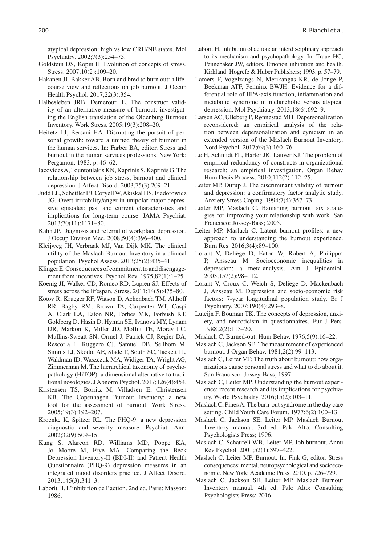atypical depression: high vs low CRH/NE states. Mol Psychiatry. 2002;7(3):254–75.

- <span id="page-13-31"></span>Goldstein DS, Kopin IJ. Evolution of concepts of stress. Stress. 2007;10(2):109–20.
- <span id="page-13-21"></span>Hakanen JJ, Bakker AB. Born and bred to burn out: a lifecourse view and reflections on job burnout. J Occup Health Psychol. 2017;22(3):354.
- <span id="page-13-9"></span>Halbesleben JRB, Demerouti E. The construct validity of an alternative measure of burnout: investigating the English translation of the Oldenburg Burnout Inventory. Work Stress. 2005;19(3):208–20.
- <span id="page-13-18"></span>Heifetz LJ, Bersani HA. Disrupting the pursuit of personal growth: toward a unified theory of burnout in the human services. In: Farber BA, editor. Stress and burnout in the human services professions. New York: Pergamon; 1983. p. 46–62.
- <span id="page-13-19"></span>Iacovides A, Fountoulakis KN, Kaprinis S, Kaprinis G.The relationship between job stress, burnout and clinical depression. J Affect Disord. 2003;75(3):209–21.
- <span id="page-13-13"></span>Judd LL, Schettler PJ, Coryell W, Akiskal HS, Fiedorowicz JG. Overt irritability/anger in unipolar major depressive episodes: past and current characteristics and implications for long-term course. JAMA Psychiat. 2013;70(11):1171–80.
- <span id="page-13-20"></span>Kahn JP. Diagnosis and referral of workplace depression. J Occup Environ Med. 2008;50(4):396–400.
- <span id="page-13-12"></span>Kleijweg JH, Verbraak MJ, Van Dijk MK. The clinical utility of the Maslach Burnout Inventory in a clinical population. Psychol Assess. 2013;25(2):435–41.
- <span id="page-13-17"></span>Klinger E.Consequences of commitment to and disengagement from incentives. Psychol Rev. 1975;82(1):1–25.

<span id="page-13-33"></span>Koenig JI, Walker CD, Romeo RD, Lupien SJ. Effects of stress across the lifespan. Stress. 2011;14(5):475–80.

- <span id="page-13-32"></span>Kotov R, Krueger RF, Watson D, Achenbach TM, Althoff RR, Bagby RM, Brown TA, Carpenter WT, Caspi A, Clark LA, Eaton NR, Forbes MK, Forbush KT, Goldberg D, Hasin D, Hyman SE, Ivanova MY, Lynam DR, Markon K, Miller JD, Moffitt TE, Morey LC, Mullins-Sweatt SN, Ormel J, Patrick CJ, Regier DA, Rescorla L, Ruggero CJ, Samuel DB, Sellbom M, Simms LJ, Skodol AE, Slade T, South SC, Tackett JL, Waldman ID, Waszczuk MA, Widiger TA, Wright AG, Zimmerman M. The hierarchical taxonomy of psychopathology (HiTOP): a dimensional alternative to traditional nosologies. J Abnorm Psychol. 2017;126(4):454.
- <span id="page-13-7"></span>Kristensen TS, Borritz M, Villadsen E, Christensen KB. The Copenhagen Burnout Inventory: a new tool for the assessment of burnout. Work Stress. 2005;19(3):192–207.
- <span id="page-13-27"></span>Kroenke K, Spitzer RL. The PHQ-9: a new depression diagnostic and severity measure. Psychiatr Ann. 2002;32(9):509–15.
- <span id="page-13-25"></span>Kung S, Alarcon RD, Williams MD, Poppe KA, Jo Moore M, Frye MA. Comparing the Beck Depression Inventory-II (BDI-II) and Patient Health Questionnaire (PHQ-9) depression measures in an integrated mood disorders practice. J Affect Disord. 2013;145(3):341–3.
- <span id="page-13-15"></span>Laborit H. L'inhibition de l'action. 2nd ed. Paris: Masson; 1986.
- <span id="page-13-16"></span>Laborit H. Inhibition of action: an interdisciplinary approach to its mechanism and psychopathology. In: Traue HC, Pennebaker JW, editors. Emotion inhibition and health. Kirkland: Hogrefe & Huber Publishers; 1993. p. 57–79.
- <span id="page-13-30"></span>Lamers F, Vogelzangs N, Merikangas KR, de Jonge P, Beekman ATF, Penninx BWJH. Evidence for a differential role of HPA-axis function, inflammation and metabolic syndrome in melancholic versus atypical depression. Mol Psychiatry. 2013;18(6):692–9.
- <span id="page-13-8"></span>Larsen AC, Ulleberg P, Rønnestad MH. Depersonalization reconsidered: an empirical analysis of the relation between depersonalization and cynicism in an extended version of the Maslach Burnout Inventory. Nord Psychol. 2017;69(3):160–76.
- <span id="page-13-24"></span>Le H, Schmidt FL, Harter JK, Lauver KJ. The problem of empirical redundancy of constructs in organizational research: an empirical investigation. Organ Behav Hum Decis Process. 2010;112(2):112–25.
- <span id="page-13-29"></span>Leiter MP, Durup J. The discriminant validity of burnout and depression: a confirmatory factor analytic study. Anxiety Stress Coping. 1994;7(4):357–73.
- <span id="page-13-28"></span>Leiter MP, Maslach C. Banishing burnout: six strategies for improving your relationship with work. San Francisco: Jossey-Bass; 2005.
- <span id="page-13-3"></span>Leiter MP, Maslach C. Latent burnout profiles: a new approach to understanding the burnout experience. Burn Res. 2016;3(4):89–100.
- <span id="page-13-23"></span>Lorant V, Deliège D, Eaton W, Robert A, Philippot P, Ansseau M. Socioeconomic inequalities in depression: a meta-analysis. Am J Epidemiol. 2003;157(2):98–112.
- <span id="page-13-22"></span>Lorant V, Croux C, Weich S, Deliège D, Mackenbach J, Ansseau M. Depression and socio-economic risk factors: 7-year longitudinal population study. Br J Psychiatry. 2007;190(4):293–8.
- <span id="page-13-26"></span>Luteijn F, Bouman TK. The concepts of depression, anxiety, and neuroticism in questionnaires. Eur J Pers. 1988;2(2):113–20.
- <span id="page-13-0"></span>Maslach C. Burned-out. Hum Behav. 1976;5(9):16–22.
- <span id="page-13-4"></span>Maslach C, Jackson SE. The measurement of experienced burnout. J Organ Behav. 1981;2(2):99–113.
- <span id="page-13-14"></span>Maslach C, Leiter MP. The truth about burnout: how organizations cause personal stress and what to do about it. San Francisco: Jossey-Bass; 1997.
- <span id="page-13-10"></span>Maslach C, Leiter MP. Understanding the burnout experience: recent research and its implications for psychiatry. World Psychiatry. 2016;15(2):103–11.
- <span id="page-13-1"></span>Maslach C, Pines A.The burn-out syndrome in the day care setting. Child Youth Care Forum. 1977;6(2):100–13.
- <span id="page-13-6"></span>Maslach C, Jackson SE, Leiter MP. Maslach Burnout Inventory manual. 3rd ed. Palo Alto: Consulting Psychologists Press; 1996.
- <span id="page-13-2"></span>Maslach C, Schaufeli WB, Leiter MP. Job burnout. Annu Rev Psychol. 2001;52(1):397–422.
- <span id="page-13-11"></span>Maslach C, Leiter MP. Burnout. In: Fink G, editor. Stress consequences: mental, neuropsychological and socioeconomic. New York: Academic Press; 2010. p. 726–729.
- <span id="page-13-5"></span>Maslach C, Jackson SE, Leiter MP. Maslach Burnout Inventory manual. 4th ed. Palo Alto: Consulting Psychologists Press; 2016.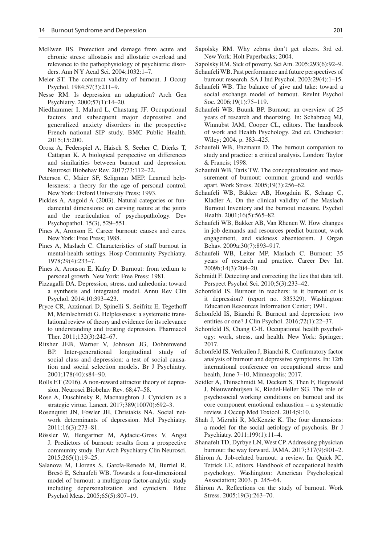- <span id="page-14-21"></span>McEwen BS. Protection and damage from acute and chronic stress: allostasis and allostatic overload and relevance to the pathophysiology of psychiatric disorders. Ann N Y Acad Sci. 2004;1032:1–7.
- <span id="page-14-33"></span>Meier ST. The construct validity of burnout. J Occup Psychol. 1984;57(3):211–9.
- <span id="page-14-24"></span>Nesse RM. Is depression an adaptation? Arch Gen Psychiatry. 2000;57(1):14–20.
- <span id="page-14-27"></span>Niedhammer I, Malard L, Chastang JF. Occupational factors and subsequent major depressive and generalized anxiety disorders in the prospective French national SIP study. BMC Public Health. 2015;15:200.
- <span id="page-14-37"></span>Orosz A, Federspiel A, Haisch S, Seeher C, Dierks T, Cattapan K. A biological perspective on differences and similarities between burnout and depression. Neurosci Biobehav Rev. 2017;73:112–22.
- <span id="page-14-19"></span>Peterson C, Maier SF, Seligman MEP. Learned helplessness: a theory for the age of personal control. New York: Oxford University Press; 1993.
- <span id="page-14-32"></span>Pickles A, Angold A (2003). Natural categories or fundamental dimensions: on carving nature at the joints and the rearticulation of psychopathology. Dev Psychopathol. 15(3), 529–551.
- <span id="page-14-13"></span>Pines A, Aronson E. Career burnout: causes and cures. New York: Free Press; 1988.
- <span id="page-14-6"></span>Pines A, Maslach C. Characteristics of staff burnout in mental-health settings. Hosp Community Psychiatry. 1978;29(4):233–7.
- <span id="page-14-14"></span>Pines A, Aronson E, Kafry D. Burnout: from tedium to personal growth. New York: Free Press; 1981.
- <span id="page-14-22"></span>Pizzagalli DA. Depression, stress, and anhedonia: toward a synthesis and integrated model. Annu Rev Clin Psychol. 2014;10:393–423.
- <span id="page-14-20"></span>Pryce CR, Azzinnari D, Spinelli S, Seifritz E, Tegethoff M, Meinlschmidt G. Helplessness: a systematic translational review of theory and evidence for its relevance to understanding and treating depression. Pharmacol Ther. 2011;132(3):242–67.
- <span id="page-14-28"></span>Ritsher JEB, Warner V, Johnson JG, Dohrenwend BP. Inter-generational longitudinal study of social class and depression: a test of social causation and social selection models. Br J Psychiatry. 2001;178(40):s84–90.
- <span id="page-14-26"></span>Rolls ET (2016). A non-reward attractor theory of depression. Neurosci Biobehav Rev. 68;47–58.
- <span id="page-14-12"></span>Rose A, Duschinsky R, Macnaughton J. Cynicism as a strategic virtue. Lancet. 2017;389(10070):692–3.
- <span id="page-14-29"></span>Rosenquist JN, Fowler JH, Christakis NA. Social network determinants of depression. Mol Psychiatry. 2011;16(3):273–81.
- <span id="page-14-35"></span>Rössler W, Hengartner M, Ajdacic-Gross V, Angst J. Predictors of burnout: results from a prospective community study. Eur Arch Psychiatry Clin Neurosci. 2015;265(1):19–25.
- <span id="page-14-9"></span>Salanova M, Llorens S, García-Renedo M, Burriel R, Bresó E, Schaufeli WB. Towards a four-dimensional model of burnout: a multigroup factor-analytic study including depersonalization and cynicism. Educ Psychol Meas. 2005;65(5):807–19.
- <span id="page-14-23"></span>Sapolsky RM. Why zebras don't get ulcers. 3rd ed. New York: Holt Paperbacks; 2004.
- <span id="page-14-30"></span>Sapolsky RM. Sick of poverty. Sci Am. 2005;293(6):92–9.
- <span id="page-14-11"></span>Schaufeli WB. Past performance and future perspectives of burnout research. SA J Ind Psychol. 2003;29(4):1–15.
- <span id="page-14-25"></span>Schaufeli WB. The balance of give and take: toward a social exchange model of burnout. RevInt Psychol Soc. 2006;19(1):75–119.
- <span id="page-14-18"></span>Schaufeli WB, Buunk BP. Burnout: an overview of 25 years of research and theorizing. In: Schabracq MJ, Winnubst JAM, Cooper CL, editors. The handbook of work and Health Psychology. 2nd ed. Chichester: Wiley; 2004. p. 383–425.
- <span id="page-14-10"></span>Schaufeli WB, Enzmann D. The burnout companion to study and practice: a critical analysis. London: Taylor & Francis; 1998.
- <span id="page-14-1"></span>Schaufeli WB, Taris TW. The conceptualization and measurement of burnout: common ground and worlds apart. Work Stress. 2005;19(3):256–62.
- <span id="page-14-16"></span>Schaufeli WB, Bakker AB, Hoogduin K, Schaap C, Kladler A. On the clinical validity of the Maslach Burnout Inventory and the burnout measure. Psychol Health. 2001;16(5):565–82.
- <span id="page-14-4"></span>Schaufeli WB, Bakker AB, Van Rhenen W. How changes in job demands and resources predict burnout, work engagement, and sickness absenteeism. J Organ Behav. 2009a;30(7):893–917.
- <span id="page-14-2"></span>Schaufeli WB, Leiter MP, Maslach C. Burnout: 35 years of research and practice. Career Dev Int. 2009b;14(3):204–20.
- <span id="page-14-0"></span>Schmidt F. Detecting and correcting the lies that data tell. Perspect Psychol Sci. 2010;5(3):233–42.
- <span id="page-14-17"></span>Schonfeld IS. Burnout in teachers: is it burnout or is it depression? (report no. 335329). Washington: Education Resources Information Center; 1991.
- <span id="page-14-34"></span>Schonfeld IS, Bianchi R. Burnout and depression: two entities or one? J Clin Psychol. 2016;72(1):22–37.
- <span id="page-14-3"></span>Schonfeld IS, Chang C-H. Occupational health psychology: work, stress, and health. New York: Springer; 2017.
- <span id="page-14-36"></span>Schonfeld IS, Verkuilen J, Bianchi R. Confirmatory factor analysis of burnout and depressive symptoms. In: 12th international conference on occupational stress and health, June 7–10, Minneapolis; 2017.
- <span id="page-14-15"></span>Seidler A, Thinschmidt M, Deckert S, Then F, Hegewald J, Nieuwenhuijsen K, Riedel-Heller SG. The role of psychosocial working conditions on burnout and its core component emotional exhaustion – a systematic review. J Occup Med Toxicol. 2014;9:10.
- <span id="page-14-31"></span>Shah J, Mizrahi R, McKenzie K. The four dimensions: a model for the social aetiology of psychosis. Br J Psychiatry. 2011;199(1):11–4.
- <span id="page-14-5"></span>Shanafelt TD, Dyrbye LN, West CP. Addressing physician burnout: the way forward. JAMA. 2017;317(9):901–2.
- <span id="page-14-8"></span>Shirom A. Job-related burnout: a review. In: Quick JC, Tetrick LE, editors. Handbook of occupational health psychology. Washington: American Psychological Association; 2003. p. 245–64.
- <span id="page-14-7"></span>Shirom A. Reflections on the study of burnout. Work Stress. 2005;19(3):263–70.